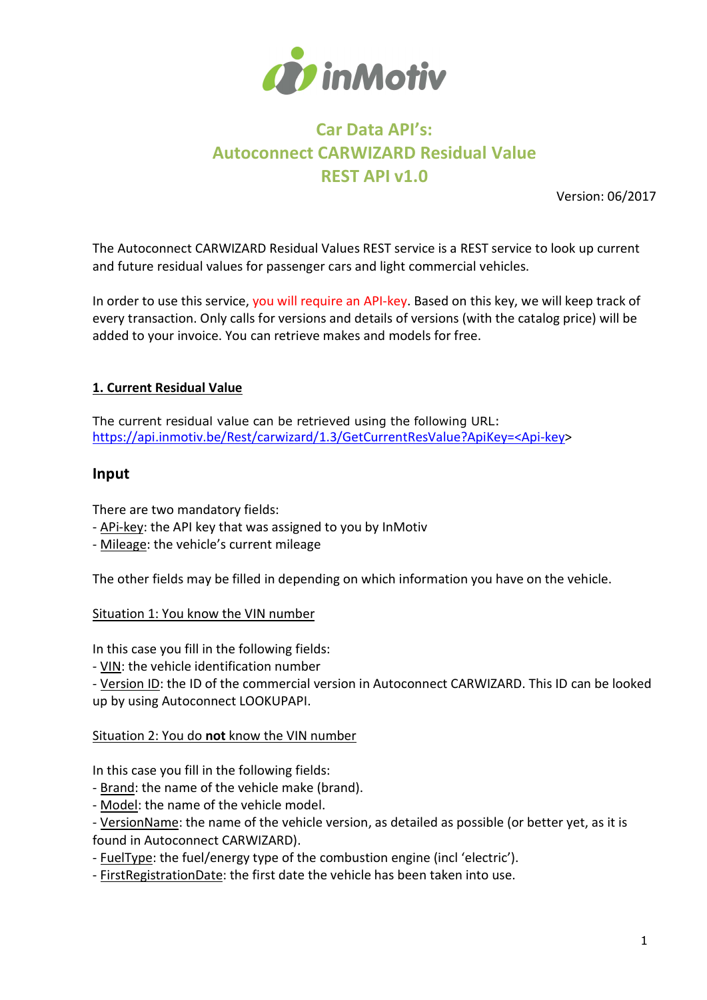

# Car Data API's: Autoconnect CARWIZARD Residual Value REST API v1.0

Version: 06/2017

The Autoconnect CARWIZARD Residual Values REST service is a REST service to look up current and future residual values for passenger cars and light commercial vehicles.

In order to use this service, you will require an API-key. Based on this key, we will keep track of every transaction. Only calls for versions and details of versions (with the catalog price) will be added to your invoice. You can retrieve makes and models for free.

### 1. Current Residual Value

The current residual value can be retrieved using the following URL: https://api.inmotiv.be/Rest/carwizard/1.3/GetCurrentResValue?ApiKey=<Api-key>

### Input

There are two mandatory fields:

- APi-key: the API key that was assigned to you by InMotiv
- Mileage: the vehicle's current mileage

The other fields may be filled in depending on which information you have on the vehicle.

### Situation 1: You know the VIN number

In this case you fill in the following fields:

- VIN: the vehicle identification number

- Version ID: the ID of the commercial version in Autoconnect CARWIZARD. This ID can be looked up by using Autoconnect LOOKUPAPI.

### Situation 2: You do not know the VIN number

In this case you fill in the following fields:

- Brand: the name of the vehicle make (brand).

- Model: the name of the vehicle model.

- VersionName: the name of the vehicle version, as detailed as possible (or better yet, as it is found in Autoconnect CARWIZARD).

- FuelType: the fuel/energy type of the combustion engine (incl 'electric').

- FirstRegistrationDate: the first date the vehicle has been taken into use.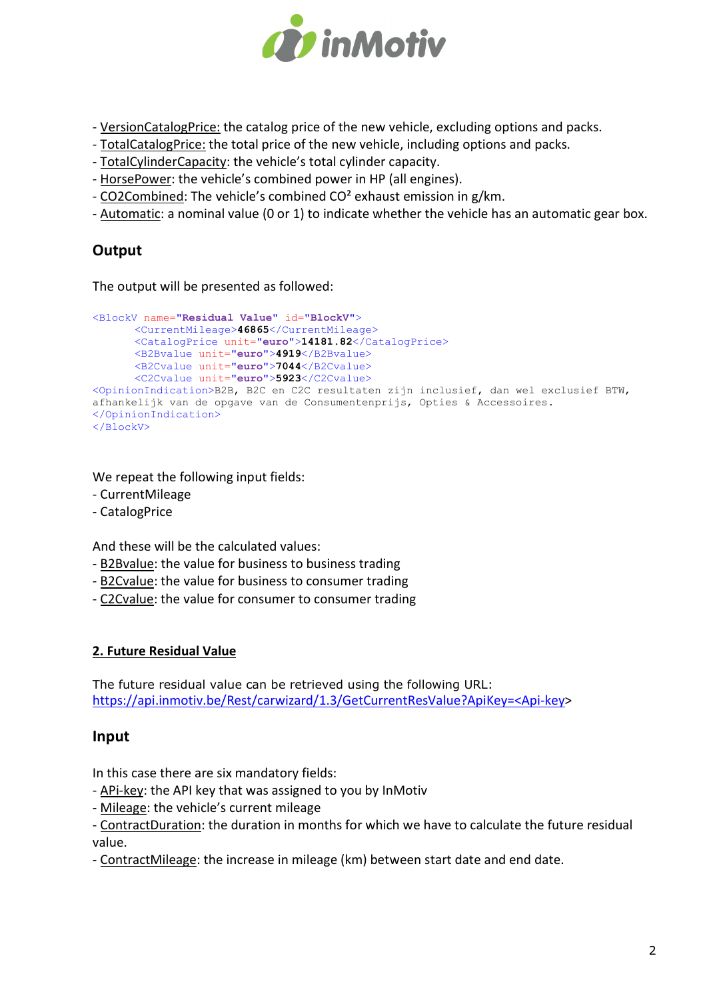

- VersionCatalogPrice: the catalog price of the new vehicle, excluding options and packs.

- TotalCatalogPrice: the total price of the new vehicle, including options and packs.
- TotalCylinderCapacity: the vehicle's total cylinder capacity.
- HorsePower: the vehicle's combined power in HP (all engines).
- CO2Combined: The vehicle's combined CO² exhaust emission in g/km.
- Automatic: a nominal value (0 or 1) to indicate whether the vehicle has an automatic gear box.

### **Output**

The output will be presented as followed:

```
<BlockV name="Residual Value" id="BlockV"> 
      <CurrentMileage>46865</CurrentMileage> 
      <CatalogPrice unit="euro">14181.82</CatalogPrice> 
      <B2Bvalue unit="euro">4919</B2Bvalue> 
      <B2Cvalue unit="euro">7044</B2Cvalue> 
      <C2Cvalue unit="euro">5923</C2Cvalue> 
<OpinionIndication>B2B, B2C en C2C resultaten zijn inclusief, dan wel exclusief BTW, 
afhankelijk van de opgave van de Consumentenprijs, Opties & Accessoires.
</OpinionIndication> 
</BlockV>
```
We repeat the following input fields:

- CurrentMileage
- CatalogPrice

And these will be the calculated values:

- B2Bvalue: the value for business to business trading
- B2Cvalue: the value for business to consumer trading
- C2Cvalue: the value for consumer to consumer trading

### 2. Future Residual Value

The future residual value can be retrieved using the following URL: https://api.inmotiv.be/Rest/carwizard/1.3/GetCurrentResValue?ApiKey=<Api-key>

### Input

In this case there are six mandatory fields:

- APi-key: the API key that was assigned to you by InMotiv
- Mileage: the vehicle's current mileage
- ContractDuration: the duration in months for which we have to calculate the future residual value.
- ContractMileage: the increase in mileage (km) between start date and end date.